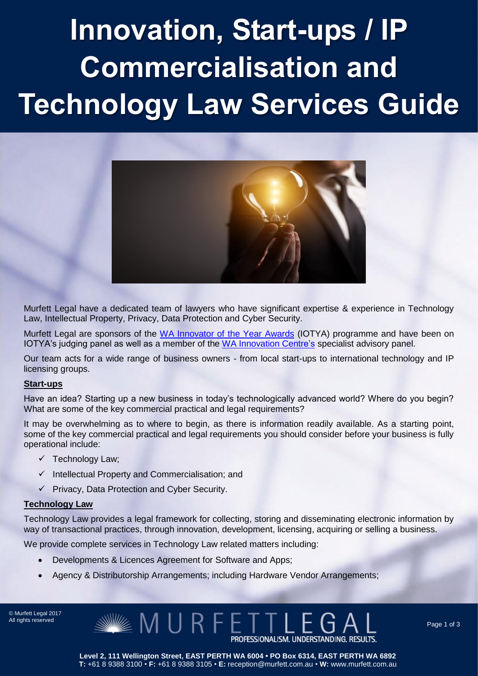# Innovation, Start-ups / IP Commercialisation and Technology Law Services Guide



Murfett Legal have a dedicated team of lawyers who have significant expertise & experience in Technology Law, Intellectual Property, Privacy, Data Protection and Cyber Security.

Murfett Legal are sponsors of the WA Innovator of [the Year Awards](http://gcio.wa.gov.au/initiatives/wa-ioty/) (IOTYA) programme and have been on IOTYA's judging panel as well as a member of the [WA Innovation Centre's](http://techparkwa.com.au/features/innovation-centre-wa/) specialist advisory panel.

Our team acts for a wide range of business owners - from local start-ups to international technology and IP licensing groups.

### **Start-ups**

Have an idea? Starting up a new business in today's technologically advanced world? Where do you begin? What are some of the key commercial practical and legal requirements?

It may be overwhelming as to where to begin, as there is information readily available. As a starting point, some of the key commercial practical and legal requirements you should consider before your business is fully operational include:

- $\checkmark$  Technology Law;
- $\checkmark$  Intellectual Property and Commercialisation; and
- ✓ Privacy, Data Protection and Cyber Security.

### **Technology Law**

Technology Law provides a legal framework for collecting, storing and disseminating electronic information by way of transactional practices, through innovation, development, licensing, acquiring or selling a business.

We provide complete services in Technology Law related matters including:

- Developments & Licences Agreement for Software and Apps;
- Agency & Distributorship Arrangements; including Hardware Vendor Arrangements;

MURFET

© Murfett Legal 2017 All rights reserved

PROFESSIONALISM. UNDERSTANDING. RESULTS.

**Level 2, 111 Wellington Street, EAST PERTH WA 6004 • PO Box 6314, EAST PERTH WA 6892 T:** +61 8 9388 3100 • **F:** +61 8 9388 3105 • **E:** reception@murfett.com.au • **W:** www.murfett.com.au Page 1 of 3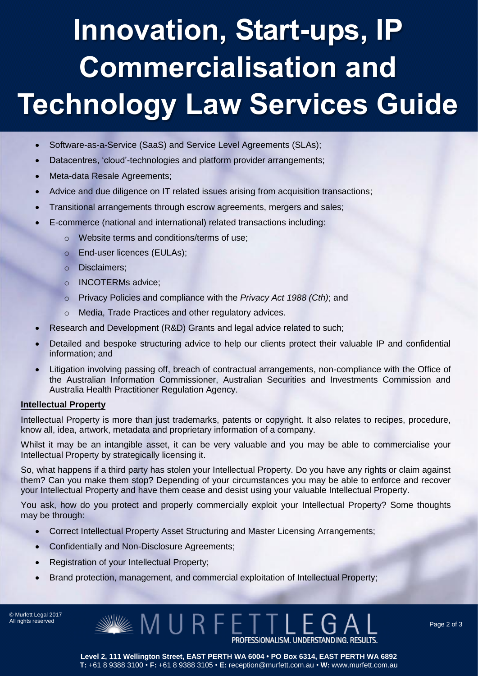## Innovation, Start-ups, IP Commercialisation and Technology Law Services Guide

- Software-as-a-Service (SaaS) and Service Level Agreements (SLAs);
- Datacentres, 'cloud'-technologies and platform provider arrangements;
- Meta-data Resale Agreements;
- Advice and due diligence on IT related issues arising from acquisition transactions;
- Transitional arrangements through escrow agreements, mergers and sales;
- E-commerce (national and international) related transactions including:
	- o Website terms and conditions/terms of use;
	- o End-user licences (EULAs);
	- o Disclaimers;
	- o INCOTERMs advice;
	- o Privacy Policies and compliance with the *Privacy Act 1988 (Cth)*; and
	- o Media, Trade Practices and other regulatory advices.
- Research and Development (R&D) Grants and legal advice related to such;
- Detailed and bespoke structuring advice to help our clients protect their valuable IP and confidential information; and
- Litigation involving passing off, breach of contractual arrangements, non-compliance with the Office of the Australian Information Commissioner, Australian Securities and Investments Commission and Australia Health Practitioner Regulation Agency.

### **Intellectual Property**

Intellectual Property is more than just trademarks, patents or copyright. It also relates to recipes, procedure, know all, idea, artwork, metadata and proprietary information of a company.

Whilst it may be an intangible asset, it can be very valuable and you may be able to commercialise your Intellectual Property by strategically licensing it.

So, what happens if a third party has stolen your Intellectual Property. Do you have any rights or claim against them? Can you make them stop? Depending of your circumstances you may be able to enforce and recover your Intellectual Property and have them cease and desist using your valuable Intellectual Property.

You ask, how do you protect and properly commercially exploit your Intellectual Property? Some thoughts may be through:

- Correct Intellectual Property Asset Structuring and Master Licensing Arrangements;
- Confidentially and Non-Disclosure Agreements;
- Registration of your Intellectual Property;
- Brand protection, management, and commercial exploitation of Intellectual Property;

© Murfett Legal 2017

 $\mathscr{\mathscr{C}}$  M U R F E T T L E G A L  $\hspace{0.2cm}$  Page 2 of 3  $\hspace{0.2cm}$ 

**Level 2, 111 Wellington Street, EAST PERTH WA 6004 • PO Box 6314, EAST PERTH WA 6892 T:** +61 8 9388 3100 • **F:** +61 8 9388 3105 • **E:** reception@murfett.com.au • **W:** www.murfett.com.au

PROFESSIONALISM. UNDERSTANDING. RESULTS.